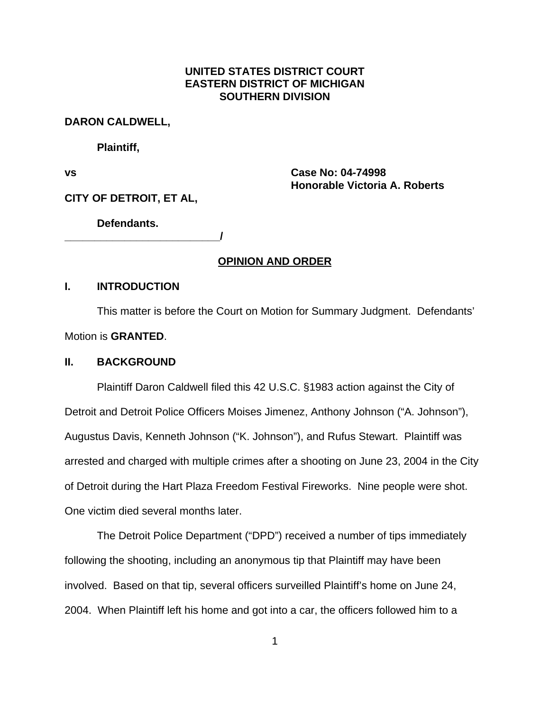## **UNITED STATES DISTRICT COURT EASTERN DISTRICT OF MICHIGAN SOUTHERN DIVISION**

#### **DARON CALDWELL,**

**Plaintiff,**

**vs Case No: 04-74998 Honorable Victoria A. Roberts**

**CITY OF DETROIT, ET AL,**

**Defendants.**

**\_\_\_\_\_\_\_\_\_\_\_\_\_\_\_\_\_\_\_\_\_\_\_\_\_\_/**

### **OPINION AND ORDER**

### **I. INTRODUCTION**

This matter is before the Court on Motion for Summary Judgment. Defendants' Motion is **GRANTED**.

### **II. BACKGROUND**

Plaintiff Daron Caldwell filed this 42 U.S.C. §1983 action against the City of Detroit and Detroit Police Officers Moises Jimenez, Anthony Johnson ("A. Johnson"), Augustus Davis, Kenneth Johnson ("K. Johnson"), and Rufus Stewart. Plaintiff was arrested and charged with multiple crimes after a shooting on June 23, 2004 in the City of Detroit during the Hart Plaza Freedom Festival Fireworks. Nine people were shot. One victim died several months later.

The Detroit Police Department ("DPD") received a number of tips immediately following the shooting, including an anonymous tip that Plaintiff may have been involved. Based on that tip, several officers surveilled Plaintiff's home on June 24, 2004. When Plaintiff left his home and got into a car, the officers followed him to a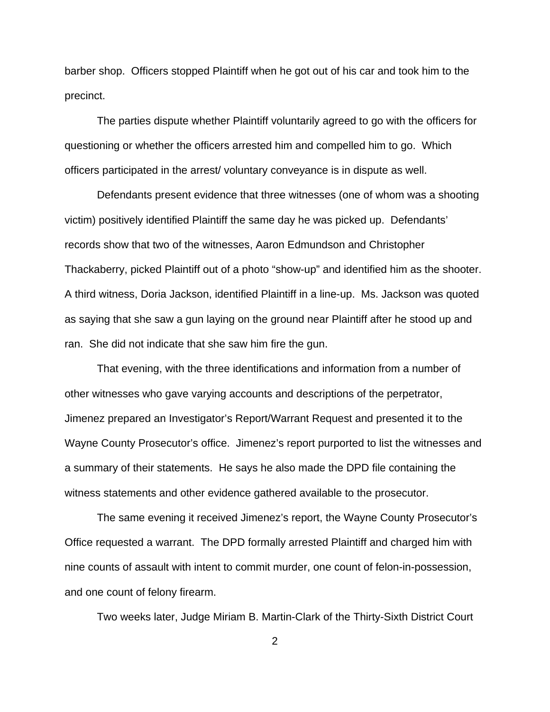barber shop. Officers stopped Plaintiff when he got out of his car and took him to the precinct.

The parties dispute whether Plaintiff voluntarily agreed to go with the officers for questioning or whether the officers arrested him and compelled him to go. Which officers participated in the arrest/ voluntary conveyance is in dispute as well.

Defendants present evidence that three witnesses (one of whom was a shooting victim) positively identified Plaintiff the same day he was picked up. Defendants' records show that two of the witnesses, Aaron Edmundson and Christopher Thackaberry, picked Plaintiff out of a photo "show-up" and identified him as the shooter. A third witness, Doria Jackson, identified Plaintiff in a line-up. Ms. Jackson was quoted as saying that she saw a gun laying on the ground near Plaintiff after he stood up and ran. She did not indicate that she saw him fire the gun.

That evening, with the three identifications and information from a number of other witnesses who gave varying accounts and descriptions of the perpetrator, Jimenez prepared an Investigator's Report/Warrant Request and presented it to the Wayne County Prosecutor's office. Jimenez's report purported to list the witnesses and a summary of their statements. He says he also made the DPD file containing the witness statements and other evidence gathered available to the prosecutor.

The same evening it received Jimenez's report, the Wayne County Prosecutor's Office requested a warrant. The DPD formally arrested Plaintiff and charged him with nine counts of assault with intent to commit murder, one count of felon-in-possession, and one count of felony firearm.

Two weeks later, Judge Miriam B. Martin-Clark of the Thirty-Sixth District Court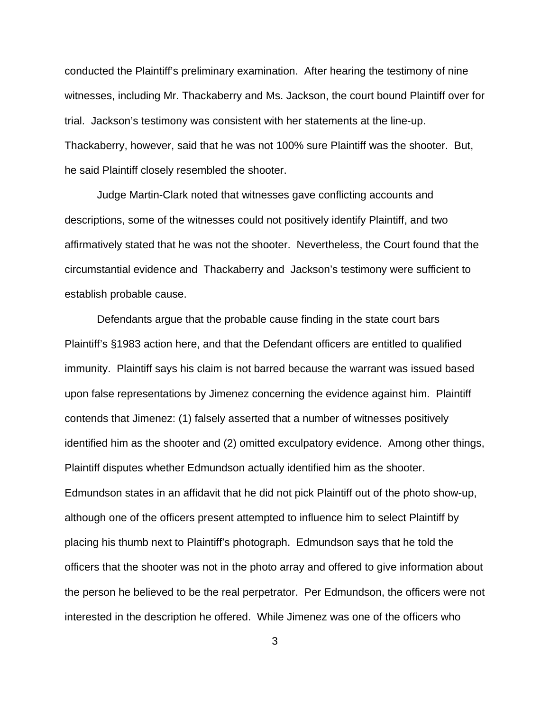conducted the Plaintiff's preliminary examination. After hearing the testimony of nine witnesses, including Mr. Thackaberry and Ms. Jackson, the court bound Plaintiff over for trial. Jackson's testimony was consistent with her statements at the line-up. Thackaberry, however, said that he was not 100% sure Plaintiff was the shooter. But, he said Plaintiff closely resembled the shooter.

Judge Martin-Clark noted that witnesses gave conflicting accounts and descriptions, some of the witnesses could not positively identify Plaintiff, and two affirmatively stated that he was not the shooter. Nevertheless, the Court found that the circumstantial evidence and Thackaberry and Jackson's testimony were sufficient to establish probable cause.

Defendants argue that the probable cause finding in the state court bars Plaintiff's §1983 action here, and that the Defendant officers are entitled to qualified immunity. Plaintiff says his claim is not barred because the warrant was issued based upon false representations by Jimenez concerning the evidence against him. Plaintiff contends that Jimenez: (1) falsely asserted that a number of witnesses positively identified him as the shooter and (2) omitted exculpatory evidence. Among other things, Plaintiff disputes whether Edmundson actually identified him as the shooter. Edmundson states in an affidavit that he did not pick Plaintiff out of the photo show-up, although one of the officers present attempted to influence him to select Plaintiff by placing his thumb next to Plaintiff's photograph. Edmundson says that he told the officers that the shooter was not in the photo array and offered to give information about the person he believed to be the real perpetrator. Per Edmundson, the officers were not interested in the description he offered. While Jimenez was one of the officers who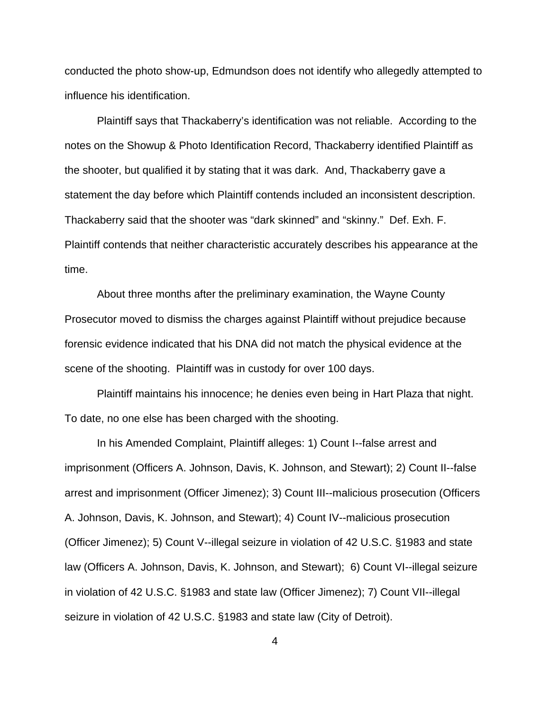conducted the photo show-up, Edmundson does not identify who allegedly attempted to influence his identification.

Plaintiff says that Thackaberry's identification was not reliable. According to the notes on the Showup & Photo Identification Record, Thackaberry identified Plaintiff as the shooter, but qualified it by stating that it was dark. And, Thackaberry gave a statement the day before which Plaintiff contends included an inconsistent description. Thackaberry said that the shooter was "dark skinned" and "skinny." Def. Exh. F. Plaintiff contends that neither characteristic accurately describes his appearance at the time.

About three months after the preliminary examination, the Wayne County Prosecutor moved to dismiss the charges against Plaintiff without prejudice because forensic evidence indicated that his DNA did not match the physical evidence at the scene of the shooting. Plaintiff was in custody for over 100 days.

Plaintiff maintains his innocence; he denies even being in Hart Plaza that night. To date, no one else has been charged with the shooting.

In his Amended Complaint, Plaintiff alleges: 1) Count I--false arrest and imprisonment (Officers A. Johnson, Davis, K. Johnson, and Stewart); 2) Count II--false arrest and imprisonment (Officer Jimenez); 3) Count III--malicious prosecution (Officers A. Johnson, Davis, K. Johnson, and Stewart); 4) Count IV--malicious prosecution (Officer Jimenez); 5) Count V--illegal seizure in violation of 42 U.S.C. §1983 and state law (Officers A. Johnson, Davis, K. Johnson, and Stewart); 6) Count VI--illegal seizure in violation of 42 U.S.C. §1983 and state law (Officer Jimenez); 7) Count VII--illegal seizure in violation of 42 U.S.C. §1983 and state law (City of Detroit).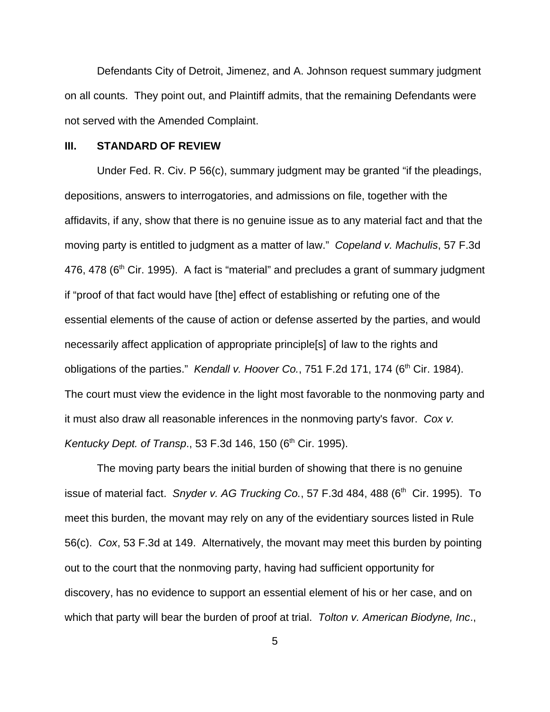Defendants City of Detroit, Jimenez, and A. Johnson request summary judgment on all counts. They point out, and Plaintiff admits, that the remaining Defendants were not served with the Amended Complaint.

#### **III. STANDARD OF REVIEW**

Under Fed. R. Civ. P 56(c), summary judgment may be granted "if the pleadings, depositions, answers to interrogatories, and admissions on file, together with the affidavits, if any, show that there is no genuine issue as to any material fact and that the moving party is entitled to judgment as a matter of law." *Copeland v. Machulis*, 57 F.3d 476, 478 (6<sup>th</sup> Cir. 1995). A fact is "material" and precludes a grant of summary judgment if "proof of that fact would have [the] effect of establishing or refuting one of the essential elements of the cause of action or defense asserted by the parties, and would necessarily affect application of appropriate principle[s] of law to the rights and obligations of the parties." *Kendall v. Hoover Co.*, 751 F.2d 171, 174 (6<sup>th</sup> Cir. 1984). The court must view the evidence in the light most favorable to the nonmoving party and it must also draw all reasonable inferences in the nonmoving party's favor. *Cox v. Kentucky Dept. of Transp.*, 53 F.3d 146, 150 (6<sup>th</sup> Cir. 1995).

The moving party bears the initial burden of showing that there is no genuine issue of material fact. *Snyder v. AG Trucking Co.*, 57 F.3d 484, 488 (6<sup>th</sup> Cir. 1995). To meet this burden, the movant may rely on any of the evidentiary sources listed in Rule 56(c). *Cox*, 53 F.3d at 149. Alternatively, the movant may meet this burden by pointing out to the court that the nonmoving party, having had sufficient opportunity for discovery, has no evidence to support an essential element of his or her case, and on which that party will bear the burden of proof at trial. *Tolton v. American Biodyne, Inc*.,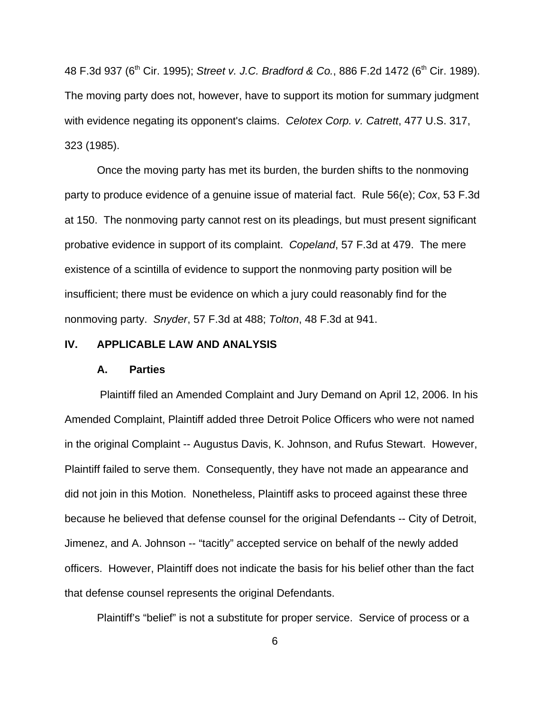48 F.3d 937 (6<sup>th</sup> Cir. 1995); *Street v. J.C. Bradford & Co.*, 886 F.2d 1472 (6<sup>th</sup> Cir. 1989). The moving party does not, however, have to support its motion for summary judgment with evidence negating its opponent's claims. *Celotex Corp. v. Catrett*, 477 U.S. 317, 323 (1985).

Once the moving party has met its burden, the burden shifts to the nonmoving party to produce evidence of a genuine issue of material fact. Rule 56(e); *Cox*, 53 F.3d at 150. The nonmoving party cannot rest on its pleadings, but must present significant probative evidence in support of its complaint. *Copeland*, 57 F.3d at 479. The mere existence of a scintilla of evidence to support the nonmoving party position will be insufficient; there must be evidence on which a jury could reasonably find for the nonmoving party. *Snyder*, 57 F.3d at 488; *Tolton*, 48 F.3d at 941.

### **IV. APPLICABLE LAW AND ANALYSIS**

#### **A. Parties**

 Plaintiff filed an Amended Complaint and Jury Demand on April 12, 2006. In his Amended Complaint, Plaintiff added three Detroit Police Officers who were not named in the original Complaint -- Augustus Davis, K. Johnson, and Rufus Stewart. However, Plaintiff failed to serve them. Consequently, they have not made an appearance and did not join in this Motion. Nonetheless, Plaintiff asks to proceed against these three because he believed that defense counsel for the original Defendants -- City of Detroit, Jimenez, and A. Johnson -- "tacitly" accepted service on behalf of the newly added officers. However, Plaintiff does not indicate the basis for his belief other than the fact that defense counsel represents the original Defendants.

Plaintiff's "belief" is not a substitute for proper service. Service of process or a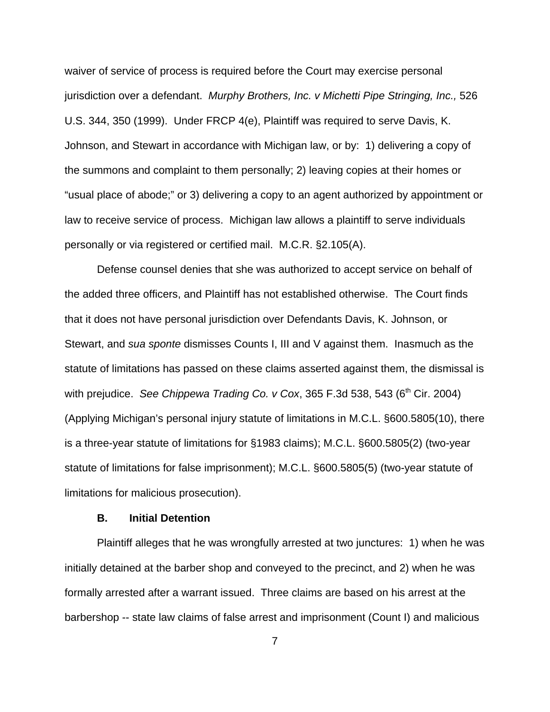waiver of service of process is required before the Court may exercise personal jurisdiction over a defendant. *Murphy Brothers, Inc. v Michetti Pipe Stringing, Inc.,* 526 U.S. 344, 350 (1999). Under FRCP 4(e), Plaintiff was required to serve Davis, K. Johnson, and Stewart in accordance with Michigan law, or by: 1) delivering a copy of the summons and complaint to them personally; 2) leaving copies at their homes or "usual place of abode;" or 3) delivering a copy to an agent authorized by appointment or law to receive service of process. Michigan law allows a plaintiff to serve individuals personally or via registered or certified mail. M.C.R. §2.105(A).

Defense counsel denies that she was authorized to accept service on behalf of the added three officers, and Plaintiff has not established otherwise. The Court finds that it does not have personal jurisdiction over Defendants Davis, K. Johnson, or Stewart, and *sua sponte* dismisses Counts I, III and V against them. Inasmuch as the statute of limitations has passed on these claims asserted against them, the dismissal is with prejudice. *See Chippewa Trading Co. v Cox*, 365 F.3d 538, 543 (6<sup>th</sup> Cir. 2004) (Applying Michigan's personal injury statute of limitations in M.C.L. §600.5805(10), there is a three-year statute of limitations for §1983 claims); M.C.L. §600.5805(2) (two-year statute of limitations for false imprisonment); M.C.L. §600.5805(5) (two-year statute of limitations for malicious prosecution).

#### **B. Initial Detention**

Plaintiff alleges that he was wrongfully arrested at two junctures: 1) when he was initially detained at the barber shop and conveyed to the precinct, and 2) when he was formally arrested after a warrant issued. Three claims are based on his arrest at the barbershop -- state law claims of false arrest and imprisonment (Count I) and malicious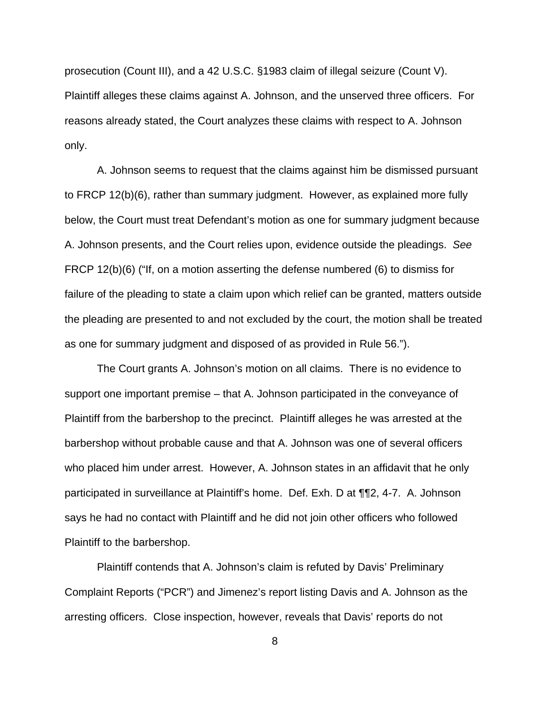prosecution (Count III), and a 42 U.S.C. §1983 claim of illegal seizure (Count V). Plaintiff alleges these claims against A. Johnson, and the unserved three officers. For reasons already stated, the Court analyzes these claims with respect to A. Johnson only.

A. Johnson seems to request that the claims against him be dismissed pursuant to FRCP 12(b)(6), rather than summary judgment. However, as explained more fully below, the Court must treat Defendant's motion as one for summary judgment because A. Johnson presents, and the Court relies upon, evidence outside the pleadings. *See* FRCP 12(b)(6) ("If, on a motion asserting the defense numbered (6) to dismiss for failure of the pleading to state a claim upon which relief can be granted, matters outside the pleading are presented to and not excluded by the court, the motion shall be treated as one for summary judgment and disposed of as provided in Rule 56.").

The Court grants A. Johnson's motion on all claims. There is no evidence to support one important premise – that A. Johnson participated in the conveyance of Plaintiff from the barbershop to the precinct. Plaintiff alleges he was arrested at the barbershop without probable cause and that A. Johnson was one of several officers who placed him under arrest. However, A. Johnson states in an affidavit that he only participated in surveillance at Plaintiff's home. Def. Exh. D at ¶¶2, 4-7. A. Johnson says he had no contact with Plaintiff and he did not join other officers who followed Plaintiff to the barbershop.

Plaintiff contends that A. Johnson's claim is refuted by Davis' Preliminary Complaint Reports ("PCR") and Jimenez's report listing Davis and A. Johnson as the arresting officers. Close inspection, however, reveals that Davis' reports do not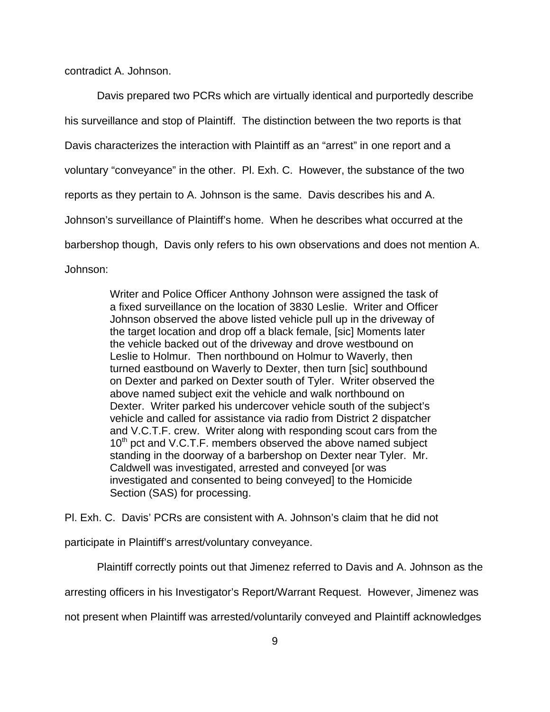contradict A. Johnson.

Davis prepared two PCRs which are virtually identical and purportedly describe his surveillance and stop of Plaintiff. The distinction between the two reports is that Davis characterizes the interaction with Plaintiff as an "arrest" in one report and a voluntary "conveyance" in the other. Pl. Exh. C. However, the substance of the two reports as they pertain to A. Johnson is the same. Davis describes his and A. Johnson's surveillance of Plaintiff's home. When he describes what occurred at the barbershop though, Davis only refers to his own observations and does not mention A. Johnson:

> Writer and Police Officer Anthony Johnson were assigned the task of a fixed surveillance on the location of 3830 Leslie. Writer and Officer Johnson observed the above listed vehicle pull up in the driveway of the target location and drop off a black female, [sic] Moments later the vehicle backed out of the driveway and drove westbound on Leslie to Holmur. Then northbound on Holmur to Waverly, then turned eastbound on Waverly to Dexter, then turn [sic] southbound on Dexter and parked on Dexter south of Tyler. Writer observed the above named subject exit the vehicle and walk northbound on Dexter. Writer parked his undercover vehicle south of the subject's vehicle and called for assistance via radio from District 2 dispatcher and V.C.T.F. crew. Writer along with responding scout cars from the 10<sup>th</sup> pct and V.C.T.F. members observed the above named subject standing in the doorway of a barbershop on Dexter near Tyler. Mr. Caldwell was investigated, arrested and conveyed [or was investigated and consented to being conveyed] to the Homicide Section (SAS) for processing.

Pl. Exh. C. Davis' PCRs are consistent with A. Johnson's claim that he did not

participate in Plaintiff's arrest/voluntary conveyance.

Plaintiff correctly points out that Jimenez referred to Davis and A. Johnson as the

arresting officers in his Investigator's Report/Warrant Request. However, Jimenez was

not present when Plaintiff was arrested/voluntarily conveyed and Plaintiff acknowledges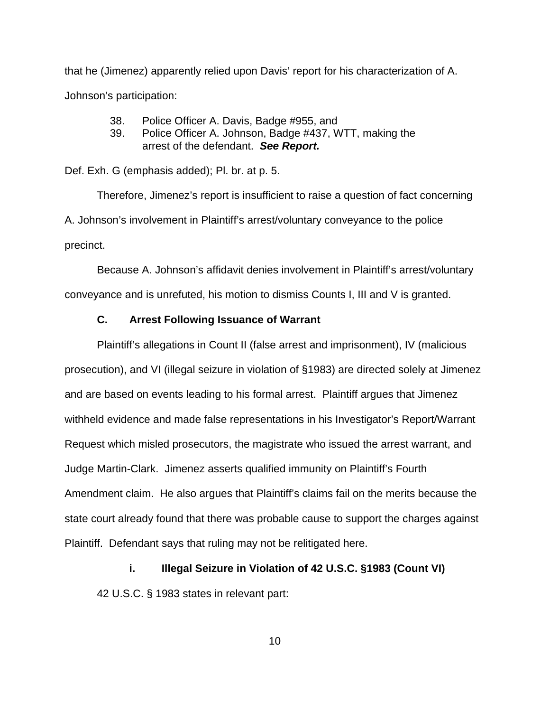that he (Jimenez) apparently relied upon Davis' report for his characterization of A. Johnson's participation:

- 38. Police Officer A. Davis, Badge #955, and
- 39. Police Officer A. Johnson, Badge #437, WTT, making the arrest of the defendant. *See Report.*

Def. Exh. G (emphasis added); Pl. br. at p. 5.

Therefore, Jimenez's report is insufficient to raise a question of fact concerning A. Johnson's involvement in Plaintiff's arrest/voluntary conveyance to the police precinct.

Because A. Johnson's affidavit denies involvement in Plaintiff's arrest/voluntary conveyance and is unrefuted, his motion to dismiss Counts I, III and V is granted.

#### **C. Arrest Following Issuance of Warrant**

Plaintiff's allegations in Count II (false arrest and imprisonment), IV (malicious prosecution), and VI (illegal seizure in violation of §1983) are directed solely at Jimenez and are based on events leading to his formal arrest. Plaintiff argues that Jimenez withheld evidence and made false representations in his Investigator's Report/Warrant Request which misled prosecutors, the magistrate who issued the arrest warrant, and Judge Martin-Clark. Jimenez asserts qualified immunity on Plaintiff's Fourth Amendment claim. He also argues that Plaintiff's claims fail on the merits because the state court already found that there was probable cause to support the charges against Plaintiff. Defendant says that ruling may not be relitigated here.

**i. Illegal Seizure in Violation of 42 U.S.C. §1983 (Count VI)**

42 U.S.C. § 1983 states in relevant part: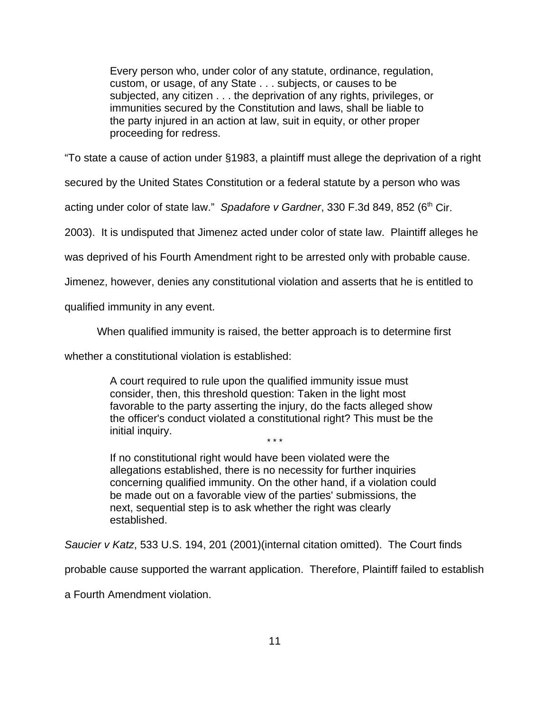Every person who, under color of any statute, ordinance, regulation, custom, or usage, of any State . . . subjects, or causes to be subjected, any citizen . . . the deprivation of any rights, privileges, or immunities secured by the Constitution and laws, shall be liable to the party injured in an action at law, suit in equity, or other proper proceeding for redress.

"To state a cause of action under §1983, a plaintiff must allege the deprivation of a right

secured by the United States Constitution or a federal statute by a person who was

acting under color of state law." *Spadafore v Gardner*, 330 F.3d 849, 852 (6<sup>th</sup> Cir.

2003). It is undisputed that Jimenez acted under color of state law. Plaintiff alleges he

was deprived of his Fourth Amendment right to be arrested only with probable cause.

Jimenez, however, denies any constitutional violation and asserts that he is entitled to

qualified immunity in any event.

When qualified immunity is raised, the better approach is to determine first

whether a constitutional violation is established:

A court required to rule upon the qualified immunity issue must consider, then, this threshold question: Taken in the light most favorable to the party asserting the injury, do the facts alleged show the officer's conduct violated a constitutional right? This must be the initial inquiry. \* \* \*

If no constitutional right would have been violated were the allegations established, there is no necessity for further inquiries concerning qualified immunity. On the other hand, if a violation could be made out on a favorable view of the parties' submissions, the next, sequential step is to ask whether the right was clearly established.

*Saucier v Katz*, 533 U.S. 194, 201 (2001)(internal citation omitted). The Court finds

probable cause supported the warrant application. Therefore, Plaintiff failed to establish

a Fourth Amendment violation.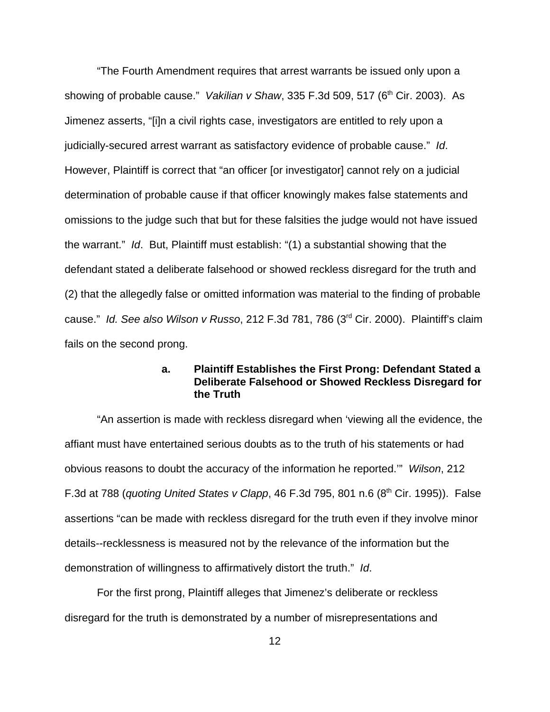"The Fourth Amendment requires that arrest warrants be issued only upon a showing of probable cause." *Vakilian v Shaw*, 335 F.3d 509, 517 (6th Cir. 2003). As Jimenez asserts, "[i]n a civil rights case, investigators are entitled to rely upon a judicially-secured arrest warrant as satisfactory evidence of probable cause." *Id*. However, Plaintiff is correct that "an officer [or investigator] cannot rely on a judicial determination of probable cause if that officer knowingly makes false statements and omissions to the judge such that but for these falsities the judge would not have issued the warrant." *Id*. But, Plaintiff must establish: "(1) a substantial showing that the defendant stated a deliberate falsehood or showed reckless disregard for the truth and (2) that the allegedly false or omitted information was material to the finding of probable cause." *Id. See also Wilson v Russo*, 212 F.3d 781, 786 (3rd Cir. 2000). Plaintiff's claim fails on the second prong.

### **a. Plaintiff Establishes the First Prong: Defendant Stated a Deliberate Falsehood or Showed Reckless Disregard for the Truth**

"An assertion is made with reckless disregard when 'viewing all the evidence, the affiant must have entertained serious doubts as to the truth of his statements or had obvious reasons to doubt the accuracy of the information he reported.'" *Wilson*, 212 F.3d at 788 (*quoting United States v Clapp*, 46 F.3d 795, 801 n.6 (8th Cir. 1995)). False assertions "can be made with reckless disregard for the truth even if they involve minor details--recklessness is measured not by the relevance of the information but the demonstration of willingness to affirmatively distort the truth." *Id*.

For the first prong, Plaintiff alleges that Jimenez's deliberate or reckless disregard for the truth is demonstrated by a number of misrepresentations and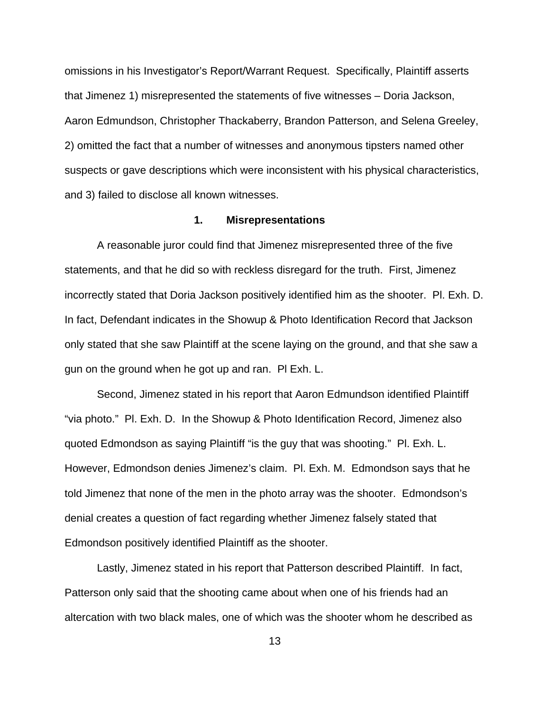omissions in his Investigator's Report/Warrant Request. Specifically, Plaintiff asserts that Jimenez 1) misrepresented the statements of five witnesses – Doria Jackson, Aaron Edmundson, Christopher Thackaberry, Brandon Patterson, and Selena Greeley, 2) omitted the fact that a number of witnesses and anonymous tipsters named other suspects or gave descriptions which were inconsistent with his physical characteristics, and 3) failed to disclose all known witnesses.

#### **1. Misrepresentations**

A reasonable juror could find that Jimenez misrepresented three of the five statements, and that he did so with reckless disregard for the truth. First, Jimenez incorrectly stated that Doria Jackson positively identified him as the shooter. Pl. Exh. D. In fact, Defendant indicates in the Showup & Photo Identification Record that Jackson only stated that she saw Plaintiff at the scene laying on the ground, and that she saw a gun on the ground when he got up and ran. Pl Exh. L.

Second, Jimenez stated in his report that Aaron Edmundson identified Plaintiff "via photo." Pl. Exh. D. In the Showup & Photo Identification Record, Jimenez also quoted Edmondson as saying Plaintiff "is the guy that was shooting." Pl. Exh. L. However, Edmondson denies Jimenez's claim. Pl. Exh. M. Edmondson says that he told Jimenez that none of the men in the photo array was the shooter. Edmondson's denial creates a question of fact regarding whether Jimenez falsely stated that Edmondson positively identified Plaintiff as the shooter.

Lastly, Jimenez stated in his report that Patterson described Plaintiff. In fact, Patterson only said that the shooting came about when one of his friends had an altercation with two black males, one of which was the shooter whom he described as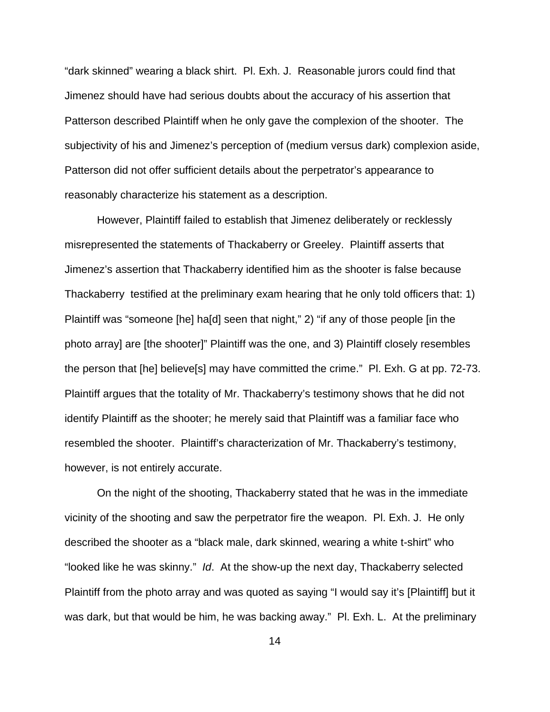"dark skinned" wearing a black shirt. Pl. Exh. J. Reasonable jurors could find that Jimenez should have had serious doubts about the accuracy of his assertion that Patterson described Plaintiff when he only gave the complexion of the shooter. The subjectivity of his and Jimenez's perception of (medium versus dark) complexion aside, Patterson did not offer sufficient details about the perpetrator's appearance to reasonably characterize his statement as a description.

However, Plaintiff failed to establish that Jimenez deliberately or recklessly misrepresented the statements of Thackaberry or Greeley. Plaintiff asserts that Jimenez's assertion that Thackaberry identified him as the shooter is false because Thackaberry testified at the preliminary exam hearing that he only told officers that: 1) Plaintiff was "someone [he] ha[d] seen that night," 2) "if any of those people [in the photo array] are [the shooter]" Plaintiff was the one, and 3) Plaintiff closely resembles the person that [he] believe[s] may have committed the crime." Pl. Exh. G at pp. 72-73. Plaintiff argues that the totality of Mr. Thackaberry's testimony shows that he did not identify Plaintiff as the shooter; he merely said that Plaintiff was a familiar face who resembled the shooter. Plaintiff's characterization of Mr. Thackaberry's testimony, however, is not entirely accurate.

On the night of the shooting, Thackaberry stated that he was in the immediate vicinity of the shooting and saw the perpetrator fire the weapon. Pl. Exh. J. He only described the shooter as a "black male, dark skinned, wearing a white t-shirt" who "looked like he was skinny." *Id*. At the show-up the next day, Thackaberry selected Plaintiff from the photo array and was quoted as saying "I would say it's [Plaintiff] but it was dark, but that would be him, he was backing away." Pl. Exh. L. At the preliminary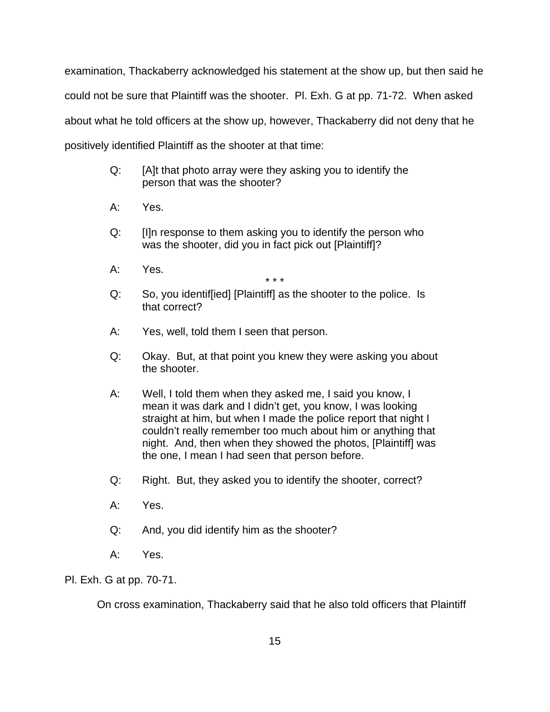examination, Thackaberry acknowledged his statement at the show up, but then said he could not be sure that Plaintiff was the shooter. Pl. Exh. G at pp. 71-72. When asked about what he told officers at the show up, however, Thackaberry did not deny that he positively identified Plaintiff as the shooter at that time:

- Q: [A]t that photo array were they asking you to identify the person that was the shooter?
- A: Yes.
- Q: [I]n response to them asking you to identify the person who was the shooter, did you in fact pick out [Plaintiff]?
- A: Yes.

\* \* \*

- Q: So, you identif[ied] [Plaintiff] as the shooter to the police. Is that correct?
- A: Yes, well, told them I seen that person.
- Q: Okay. But, at that point you knew they were asking you about the shooter.
- A: Well, I told them when they asked me, I said you know, I mean it was dark and I didn't get, you know, I was looking straight at him, but when I made the police report that night I couldn't really remember too much about him or anything that night. And, then when they showed the photos, [Plaintiff] was the one, I mean I had seen that person before.
- Q: Right. But, they asked you to identify the shooter, correct?
- A: Yes.
- Q: And, you did identify him as the shooter?
- A: Yes.

Pl. Exh. G at pp. 70-71.

On cross examination, Thackaberry said that he also told officers that Plaintiff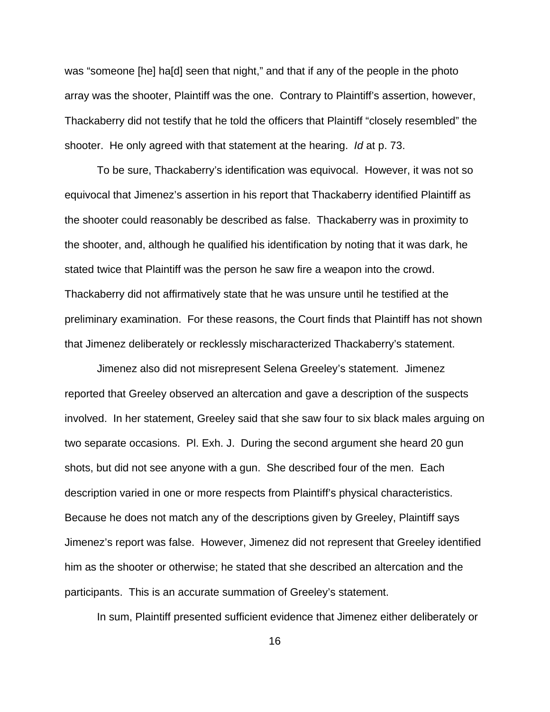was "someone [he] ha[d] seen that night," and that if any of the people in the photo array was the shooter, Plaintiff was the one. Contrary to Plaintiff's assertion, however, Thackaberry did not testify that he told the officers that Plaintiff "closely resembled" the shooter. He only agreed with that statement at the hearing. *Id* at p. 73.

To be sure, Thackaberry's identification was equivocal. However, it was not so equivocal that Jimenez's assertion in his report that Thackaberry identified Plaintiff as the shooter could reasonably be described as false. Thackaberry was in proximity to the shooter, and, although he qualified his identification by noting that it was dark, he stated twice that Plaintiff was the person he saw fire a weapon into the crowd. Thackaberry did not affirmatively state that he was unsure until he testified at the preliminary examination. For these reasons, the Court finds that Plaintiff has not shown that Jimenez deliberately or recklessly mischaracterized Thackaberry's statement.

Jimenez also did not misrepresent Selena Greeley's statement. Jimenez reported that Greeley observed an altercation and gave a description of the suspects involved. In her statement, Greeley said that she saw four to six black males arguing on two separate occasions. Pl. Exh. J. During the second argument she heard 20 gun shots, but did not see anyone with a gun. She described four of the men. Each description varied in one or more respects from Plaintiff's physical characteristics. Because he does not match any of the descriptions given by Greeley, Plaintiff says Jimenez's report was false. However, Jimenez did not represent that Greeley identified him as the shooter or otherwise; he stated that she described an altercation and the participants. This is an accurate summation of Greeley's statement.

In sum, Plaintiff presented sufficient evidence that Jimenez either deliberately or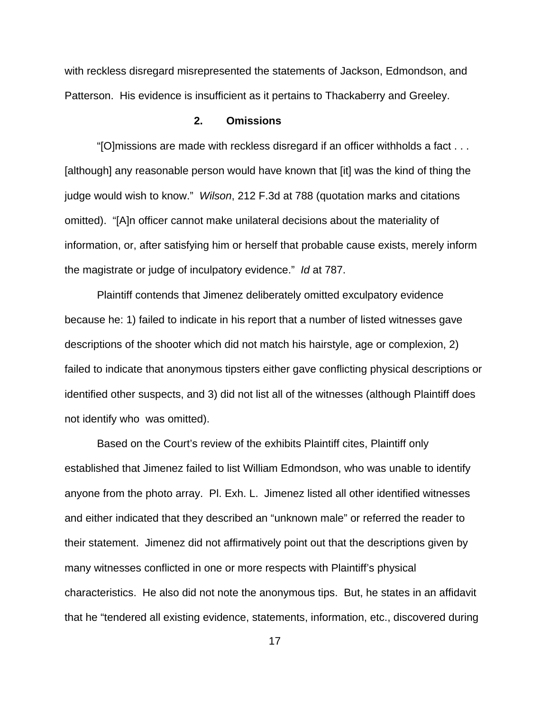with reckless disregard misrepresented the statements of Jackson, Edmondson, and Patterson. His evidence is insufficient as it pertains to Thackaberry and Greeley.

#### **2. Omissions**

"[O]missions are made with reckless disregard if an officer withholds a fact . . . [although] any reasonable person would have known that [it] was the kind of thing the judge would wish to know." *Wilson*, 212 F.3d at 788 (quotation marks and citations omitted). "[A]n officer cannot make unilateral decisions about the materiality of information, or, after satisfying him or herself that probable cause exists, merely inform the magistrate or judge of inculpatory evidence." *Id* at 787.

Plaintiff contends that Jimenez deliberately omitted exculpatory evidence because he: 1) failed to indicate in his report that a number of listed witnesses gave descriptions of the shooter which did not match his hairstyle, age or complexion, 2) failed to indicate that anonymous tipsters either gave conflicting physical descriptions or identified other suspects, and 3) did not list all of the witnesses (although Plaintiff does not identify who was omitted).

Based on the Court's review of the exhibits Plaintiff cites, Plaintiff only established that Jimenez failed to list William Edmondson, who was unable to identify anyone from the photo array. Pl. Exh. L. Jimenez listed all other identified witnesses and either indicated that they described an "unknown male" or referred the reader to their statement. Jimenez did not affirmatively point out that the descriptions given by many witnesses conflicted in one or more respects with Plaintiff's physical characteristics. He also did not note the anonymous tips. But, he states in an affidavit that he "tendered all existing evidence, statements, information, etc., discovered during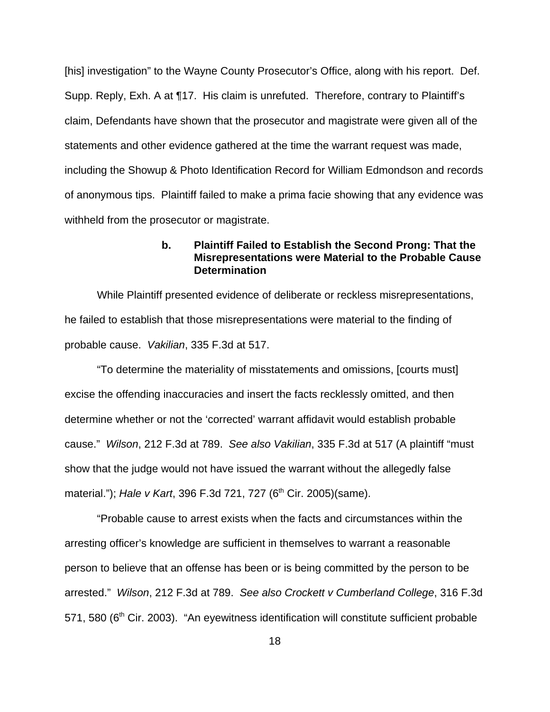[his] investigation" to the Wayne County Prosecutor's Office, along with his report. Def. Supp. Reply, Exh. A at ¶17. His claim is unrefuted. Therefore, contrary to Plaintiff's claim, Defendants have shown that the prosecutor and magistrate were given all of the statements and other evidence gathered at the time the warrant request was made, including the Showup & Photo Identification Record for William Edmondson and records of anonymous tips. Plaintiff failed to make a prima facie showing that any evidence was withheld from the prosecutor or magistrate.

### **b. Plaintiff Failed to Establish the Second Prong: That the Misrepresentations were Material to the Probable Cause Determination**

While Plaintiff presented evidence of deliberate or reckless misrepresentations, he failed to establish that those misrepresentations were material to the finding of probable cause. *Vakilian*, 335 F.3d at 517.

"To determine the materiality of misstatements and omissions, [courts must] excise the offending inaccuracies and insert the facts recklessly omitted, and then determine whether or not the 'corrected' warrant affidavit would establish probable cause." *Wilson*, 212 F.3d at 789. *See also Vakilian*, 335 F.3d at 517 (A plaintiff "must show that the judge would not have issued the warrant without the allegedly false material."); *Hale v Kart*, 396 F.3d 721, 727 (6<sup>th</sup> Cir. 2005)(same).

"Probable cause to arrest exists when the facts and circumstances within the arresting officer's knowledge are sufficient in themselves to warrant a reasonable person to believe that an offense has been or is being committed by the person to be arrested." *Wilson*, 212 F.3d at 789. *See also Crockett v Cumberland College*, 316 F.3d  $571, 580$  (6<sup>th</sup> Cir. 2003). "An eyewitness identification will constitute sufficient probable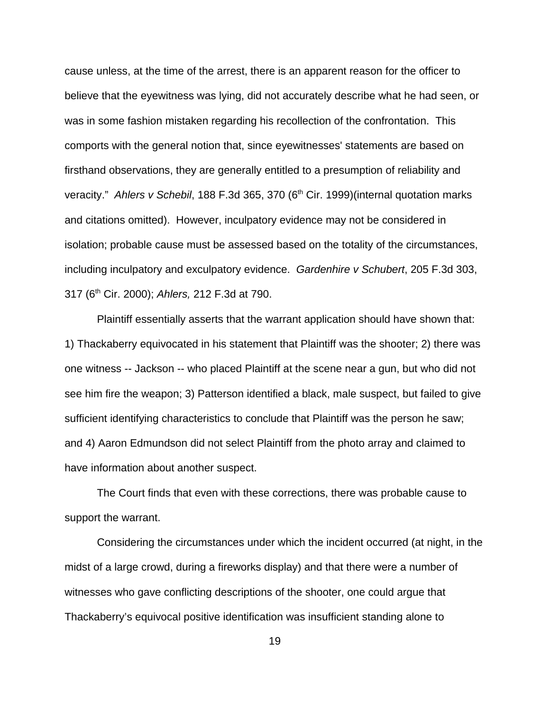cause unless, at the time of the arrest, there is an apparent reason for the officer to believe that the eyewitness was lying, did not accurately describe what he had seen, or was in some fashion mistaken regarding his recollection of the confrontation. This comports with the general notion that, since eyewitnesses' statements are based on firsthand observations, they are generally entitled to a presumption of reliability and veracity." *Ahlers v Schebil*, 188 F.3d 365, 370 (6<sup>th</sup> Cir. 1999)(internal quotation marks and citations omitted). However, inculpatory evidence may not be considered in isolation; probable cause must be assessed based on the totality of the circumstances, including inculpatory and exculpatory evidence. *Gardenhire v Schubert*, 205 F.3d 303, 317 (6th Cir. 2000); *Ahlers,* 212 F.3d at 790.

Plaintiff essentially asserts that the warrant application should have shown that: 1) Thackaberry equivocated in his statement that Plaintiff was the shooter; 2) there was one witness -- Jackson -- who placed Plaintiff at the scene near a gun, but who did not see him fire the weapon; 3) Patterson identified a black, male suspect, but failed to give sufficient identifying characteristics to conclude that Plaintiff was the person he saw; and 4) Aaron Edmundson did not select Plaintiff from the photo array and claimed to have information about another suspect.

The Court finds that even with these corrections, there was probable cause to support the warrant.

Considering the circumstances under which the incident occurred (at night, in the midst of a large crowd, during a fireworks display) and that there were a number of witnesses who gave conflicting descriptions of the shooter, one could argue that Thackaberry's equivocal positive identification was insufficient standing alone to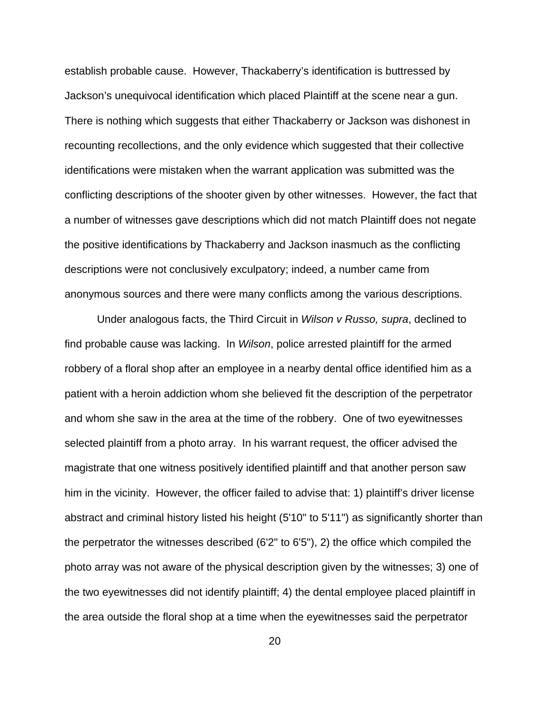establish probable cause. However, Thackaberry's identification is buttressed by Jackson's unequivocal identification which placed Plaintiff at the scene near a gun. There is nothing which suggests that either Thackaberry or Jackson was dishonest in recounting recollections, and the only evidence which suggested that their collective identifications were mistaken when the warrant application was submitted was the conflicting descriptions of the shooter given by other witnesses. However, the fact that a number of witnesses gave descriptions which did not match Plaintiff does not negate the positive identifications by Thackaberry and Jackson inasmuch as the conflicting descriptions were not conclusively exculpatory; indeed, a number came from anonymous sources and there were many conflicts among the various descriptions.

Under analogous facts, the Third Circuit in *Wilson v Russo, supra*, declined to find probable cause was lacking. In *Wilson*, police arrested plaintiff for the armed robbery of a floral shop after an employee in a nearby dental office identified him as a patient with a heroin addiction whom she believed fit the description of the perpetrator and whom she saw in the area at the time of the robbery. One of two eyewitnesses selected plaintiff from a photo array. In his warrant request, the officer advised the magistrate that one witness positively identified plaintiff and that another person saw him in the vicinity. However, the officer failed to advise that: 1) plaintiff's driver license abstract and criminal history listed his height (5'10" to 5'11") as significantly shorter than the perpetrator the witnesses described (6'2" to 6'5"), 2) the office which compiled the photo array was not aware of the physical description given by the witnesses; 3) one of the two eyewitnesses did not identify plaintiff; 4) the dental employee placed plaintiff in the area outside the floral shop at a time when the eyewitnesses said the perpetrator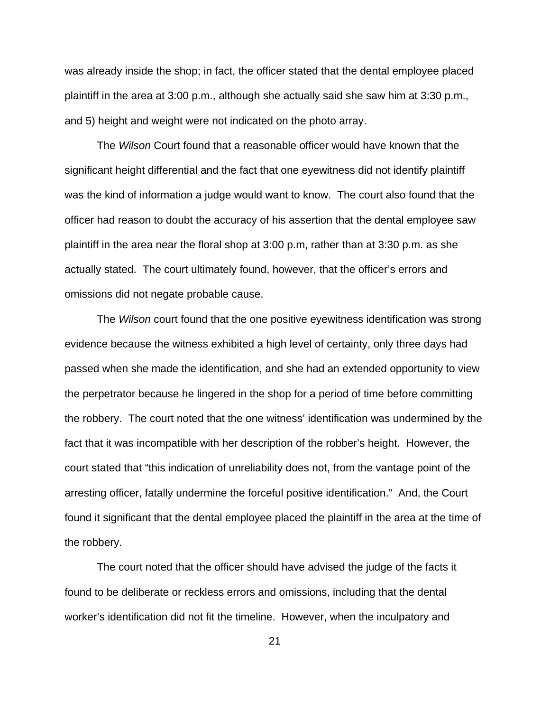was already inside the shop; in fact, the officer stated that the dental employee placed plaintiff in the area at 3:00 p.m., although she actually said she saw him at 3:30 p.m., and 5) height and weight were not indicated on the photo array.

The *Wilson* Court found that a reasonable officer would have known that the significant height differential and the fact that one eyewitness did not identify plaintiff was the kind of information a judge would want to know. The court also found that the officer had reason to doubt the accuracy of his assertion that the dental employee saw plaintiff in the area near the floral shop at 3:00 p.m, rather than at 3:30 p.m. as she actually stated. The court ultimately found, however, that the officer's errors and omissions did not negate probable cause.

The *Wilson* court found that the one positive eyewitness identification was strong evidence because the witness exhibited a high level of certainty, only three days had passed when she made the identification, and she had an extended opportunity to view the perpetrator because he lingered in the shop for a period of time before committing the robbery. The court noted that the one witness' identification was undermined by the fact that it was incompatible with her description of the robber's height. However, the court stated that "this indication of unreliability does not, from the vantage point of the arresting officer, fatally undermine the forceful positive identification." And, the Court found it significant that the dental employee placed the plaintiff in the area at the time of the robbery.

The court noted that the officer should have advised the judge of the facts it found to be deliberate or reckless errors and omissions, including that the dental worker's identification did not fit the timeline. However, when the inculpatory and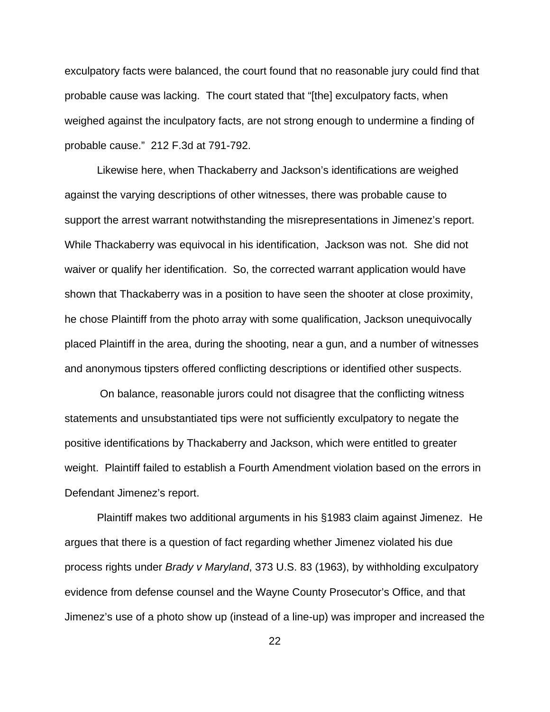exculpatory facts were balanced, the court found that no reasonable jury could find that probable cause was lacking. The court stated that "[the] exculpatory facts, when weighed against the inculpatory facts, are not strong enough to undermine a finding of probable cause." 212 F.3d at 791-792.

Likewise here, when Thackaberry and Jackson's identifications are weighed against the varying descriptions of other witnesses, there was probable cause to support the arrest warrant notwithstanding the misrepresentations in Jimenez's report. While Thackaberry was equivocal in his identification, Jackson was not. She did not waiver or qualify her identification. So, the corrected warrant application would have shown that Thackaberry was in a position to have seen the shooter at close proximity, he chose Plaintiff from the photo array with some qualification, Jackson unequivocally placed Plaintiff in the area, during the shooting, near a gun, and a number of witnesses and anonymous tipsters offered conflicting descriptions or identified other suspects.

 On balance, reasonable jurors could not disagree that the conflicting witness statements and unsubstantiated tips were not sufficiently exculpatory to negate the positive identifications by Thackaberry and Jackson, which were entitled to greater weight. Plaintiff failed to establish a Fourth Amendment violation based on the errors in Defendant Jimenez's report.

Plaintiff makes two additional arguments in his §1983 claim against Jimenez. He argues that there is a question of fact regarding whether Jimenez violated his due process rights under *Brady v Maryland*, 373 U.S. 83 (1963), by withholding exculpatory evidence from defense counsel and the Wayne County Prosecutor's Office, and that Jimenez's use of a photo show up (instead of a line-up) was improper and increased the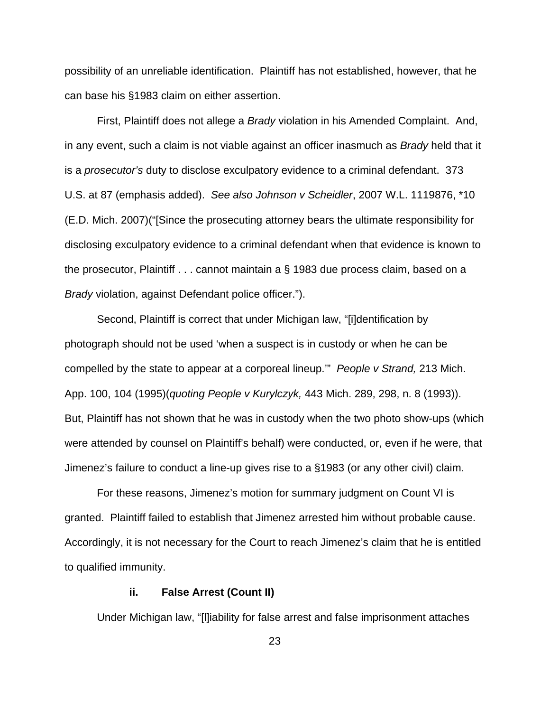possibility of an unreliable identification. Plaintiff has not established, however, that he can base his §1983 claim on either assertion.

First, Plaintiff does not allege a *Brady* violation in his Amended Complaint. And, in any event, such a claim is not viable against an officer inasmuch as *Brady* held that it is a *prosecutor's* duty to disclose exculpatory evidence to a criminal defendant. 373 U.S. at 87 (emphasis added). *See also Johnson v Scheidler*, 2007 W.L. 1119876, \*10 (E.D. Mich. 2007)("[Since the prosecuting attorney bears the ultimate responsibility for disclosing exculpatory evidence to a criminal defendant when that evidence is known to the prosecutor, Plaintiff . . . cannot maintain a § 1983 due process claim, based on a *Brady* violation, against Defendant police officer.").

Second, Plaintiff is correct that under Michigan law, "[i]dentification by photograph should not be used 'when a suspect is in custody or when he can be compelled by the state to appear at a corporeal lineup.'" *People v Strand,* 213 Mich. App. 100, 104 (1995)(*quoting People v Kurylczyk,* 443 Mich. 289, 298, n. 8 (1993)). But, Plaintiff has not shown that he was in custody when the two photo show-ups (which were attended by counsel on Plaintiff's behalf) were conducted, or, even if he were, that Jimenez's failure to conduct a line-up gives rise to a §1983 (or any other civil) claim.

For these reasons, Jimenez's motion for summary judgment on Count VI is granted. Plaintiff failed to establish that Jimenez arrested him without probable cause. Accordingly, it is not necessary for the Court to reach Jimenez's claim that he is entitled to qualified immunity.

#### **ii. False Arrest (Count II)**

Under Michigan law, "[l]iability for false arrest and false imprisonment attaches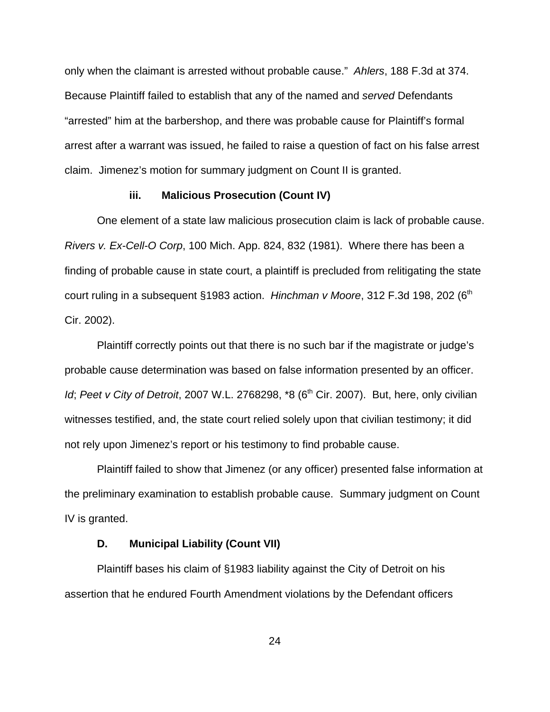only when the claimant is arrested without probable cause." *Ahlers*, 188 F.3d at 374. Because Plaintiff failed to establish that any of the named and *served* Defendants "arrested" him at the barbershop, and there was probable cause for Plaintiff's formal arrest after a warrant was issued, he failed to raise a question of fact on his false arrest claim. Jimenez's motion for summary judgment on Count II is granted.

### **iii. Malicious Prosecution (Count IV)**

One element of a state law malicious prosecution claim is lack of probable cause. *Rivers v. Ex-Cell-O Corp*, 100 Mich. App. 824, 832 (1981).Where there has been a finding of probable cause in state court, a plaintiff is precluded from relitigating the state court ruling in a subsequent §1983 action. *Hinchman v Moore*, 312 F.3d 198, 202 (6<sup>th</sup> Cir. 2002).

Plaintiff correctly points out that there is no such bar if the magistrate or judge's probable cause determination was based on false information presented by an officer. *Id*; Peet v City of Detroit, 2007 W.L. 2768298, \*8 (6<sup>th</sup> Cir. 2007). But, here, only civilian witnesses testified, and, the state court relied solely upon that civilian testimony; it did not rely upon Jimenez's report or his testimony to find probable cause.

Plaintiff failed to show that Jimenez (or any officer) presented false information at the preliminary examination to establish probable cause. Summary judgment on Count IV is granted.

### **D. Municipal Liability (Count VII)**

Plaintiff bases his claim of §1983 liability against the City of Detroit on his assertion that he endured Fourth Amendment violations by the Defendant officers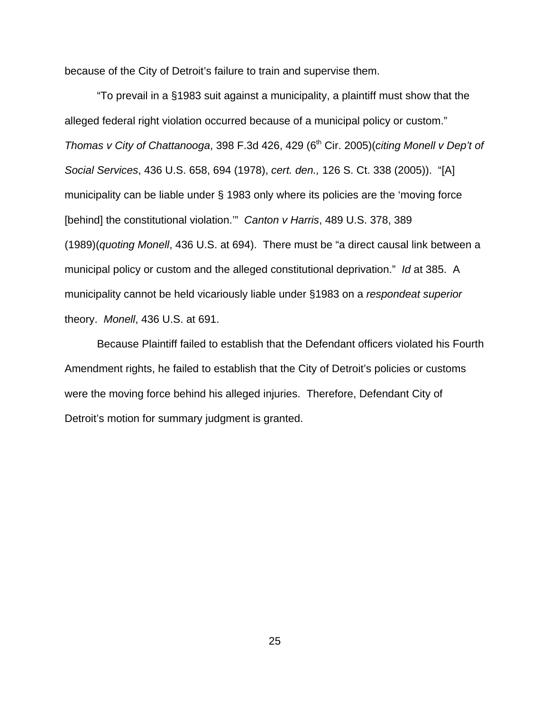because of the City of Detroit's failure to train and supervise them.

"To prevail in a §1983 suit against a municipality, a plaintiff must show that the alleged federal right violation occurred because of a municipal policy or custom." *Thomas v City of Chattanooga, 398 F.3d 426, 429 (6<sup>th</sup> Cir. 2005)(<i>citing Monell v Dep't of Social Services*, 436 U.S. 658, 694 (1978), *cert. den.,* 126 S. Ct. 338 (2005)). "[A] municipality can be liable under § 1983 only where its policies are the 'moving force [behind] the constitutional violation.'" *Canton v Harris*, 489 U.S. 378, 389 (1989)(*quoting Monell*, 436 U.S. at 694). There must be "a direct causal link between a municipal policy or custom and the alleged constitutional deprivation." *Id* at 385. A municipality cannot be held vicariously liable under §1983 on a *respondeat superior* theory. *Monell*, 436 U.S. at 691.

Because Plaintiff failed to establish that the Defendant officers violated his Fourth Amendment rights, he failed to establish that the City of Detroit's policies or customs were the moving force behind his alleged injuries. Therefore, Defendant City of Detroit's motion for summary judgment is granted.